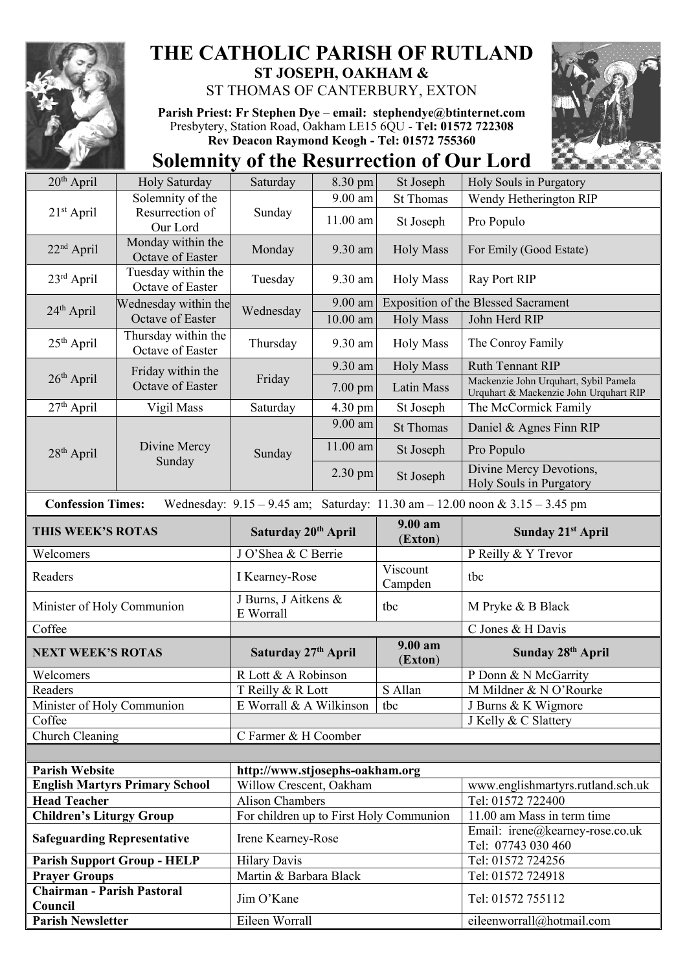

## **THE CATHOLIC PARISH OF RUTLAND ST JOSEPH, OAKHAM &**

ST THOMAS OF CANTERBURY, EXTON

**Parish Priest: Fr Stephen Dye** – **[email: stephendye@btinternet.com](mailto:email:%20%20stephendye@btinternet.com)** Presbytery, Station Road, Oakham LE15 6QU - **Tel: 01572 722308 Rev Deacon Raymond Keogh - Tel: 01572 755360**

**Solemnity of the Resurrection of Our Lord**